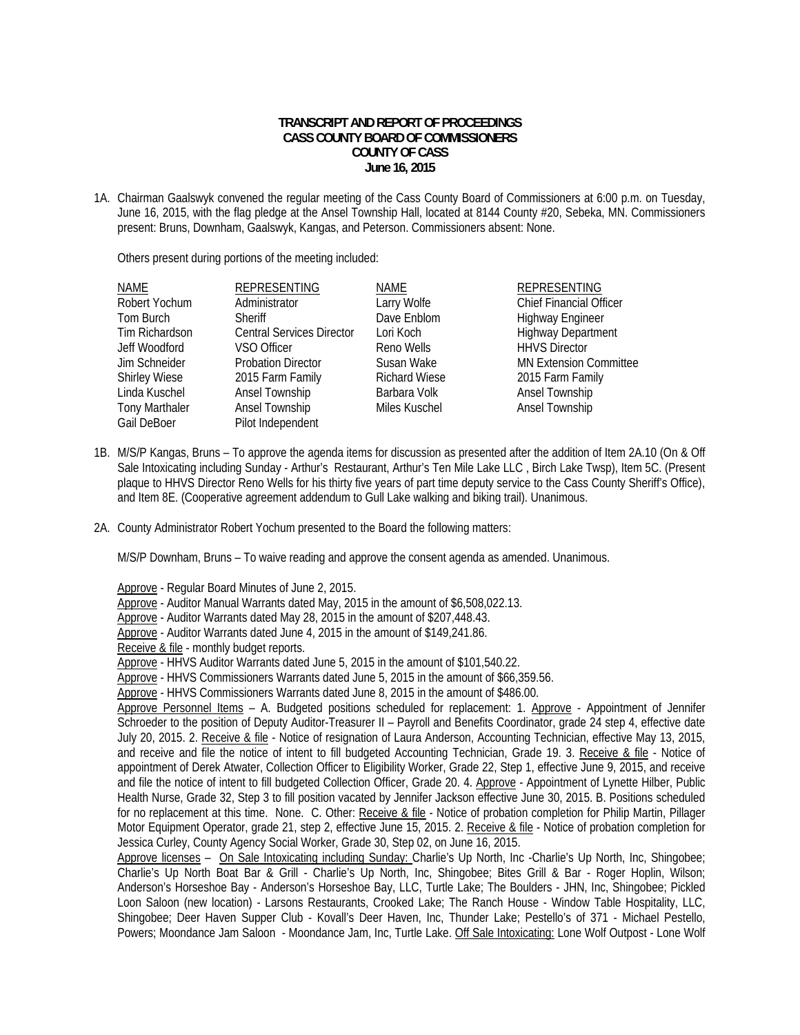## **TRANSCRIPT AND REPORT OF PROCEEDINGS CASS COUNTY BOARD OF COMMISSIONERS COUNTY OF CASS June 16, 2015**

1A. Chairman Gaalswyk convened the regular meeting of the Cass County Board of Commissioners at 6:00 p.m. on Tuesday, June 16, 2015, with the flag pledge at the Ansel Township Hall, located at 8144 County #20, Sebeka, MN. Commissioners present: Bruns, Downham, Gaalswyk, Kangas, and Peterson. Commissioners absent: None.

Others present during portions of the meeting included:

| <b>NAME</b>           | REPRESENTING                     | NAME                 | <b>REPRESENTING</b>            |
|-----------------------|----------------------------------|----------------------|--------------------------------|
| Robert Yochum         | Administrator                    | Larry Wolfe          | <b>Chief Financial Officer</b> |
| Tom Burch             | Sheriff                          | Dave Enblom          | <b>Highway Engineer</b>        |
| Tim Richardson        | <b>Central Services Director</b> | Lori Koch            | <b>Highway Department</b>      |
| Jeff Woodford         | VSO Officer                      | Reno Wells           | <b>HHVS Director</b>           |
| Jim Schneider         | <b>Probation Director</b>        | Susan Wake           | <b>MN Extension Committee</b>  |
| <b>Shirley Wiese</b>  | 2015 Farm Family                 | <b>Richard Wiese</b> | 2015 Farm Family               |
| Linda Kuschel         | Ansel Township                   | Barbara Volk         | Ansel Township                 |
| <b>Tony Marthaler</b> | Ansel Township                   | Miles Kuschel        | Ansel Township                 |
| Gail DeBoer           | Pilot Independent                |                      |                                |

- 1B. M/S/P Kangas, Bruns To approve the agenda items for discussion as presented after the addition of Item 2A.10 (On & Off Sale Intoxicating including Sunday - Arthur's Restaurant, Arthur's Ten Mile Lake LLC , Birch Lake Twsp), Item 5C. (Present plaque to HHVS Director Reno Wells for his thirty five years of part time deputy service to the Cass County Sheriff's Office), and Item 8E. (Cooperative agreement addendum to Gull Lake walking and biking trail). Unanimous.
- 2A. County Administrator Robert Yochum presented to the Board the following matters:

M/S/P Downham, Bruns – To waive reading and approve the consent agenda as amended. Unanimous.

 Approve - Regular Board Minutes of June 2, 2015. Approve - Auditor Manual Warrants dated May, 2015 in the amount of \$6,508,022.13. Approve - Auditor Warrants dated May 28, 2015 in the amount of \$207,448.43. Approve - Auditor Warrants dated June 4, 2015 in the amount of \$149,241.86. Receive & file - monthly budget reports. Approve - HHVS Auditor Warrants dated June 5, 2015 in the amount of \$101,540.22. Approve - HHVS Commissioners Warrants dated June 5, 2015 in the amount of \$66,359.56. Approve - HHVS Commissioners Warrants dated June 8, 2015 in the amount of \$486.00. Approve Personnel Items – A. Budgeted positions scheduled for replacement: 1. Approve - Appointment of Jennifer Schroeder to the position of Deputy Auditor-Treasurer II – Payroll and Benefits Coordinator, grade 24 step 4, effective date July 20, 2015. 2. Receive & file - Notice of resignation of Laura Anderson, Accounting Technician, effective May 13, 2015, and receive and file the notice of intent to fill budgeted Accounting Technician, Grade 19. 3. Receive & file - Notice of appointment of Derek Atwater, Collection Officer to Eligibility Worker, Grade 22, Step 1, effective June 9, 2015, and receive and file the notice of intent to fill budgeted Collection Officer, Grade 20. 4. Approve - Appointment of Lynette Hilber, Public Health Nurse, Grade 32, Step 3 to fill position vacated by Jennifer Jackson effective June 30, 2015. B. Positions scheduled for no replacement at this time. None. C. Other: Receive & file - Notice of probation completion for Philip Martin, Pillager Motor Equipment Operator, grade 21, step 2, effective June 15, 2015. 2. Receive & file - Notice of probation completion for Jessica Curley, County Agency Social Worker, Grade 30, Step 02, on June 16, 2015. Approve licenses – On Sale Intoxicating including Sunday: Charlie's Up North, Inc -Charlie's Up North, Inc, Shingobee; Charlie's Up North Boat Bar & Grill - Charlie's Up North, Inc, Shingobee; Bites Grill & Bar - Roger Hoplin, Wilson; Anderson's Horseshoe Bay - Anderson's Horseshoe Bay, LLC, Turtle Lake; The Boulders - JHN, Inc, Shingobee; Pickled Loon Saloon (new location) - Larsons Restaurants, Crooked Lake; The Ranch House - Window Table Hospitality, LLC, Shingobee; Deer Haven Supper Club - Kovall's Deer Haven, Inc, Thunder Lake; Pestello's of 371 - Michael Pestello,

Powers; Moondance Jam Saloon - Moondance Jam, Inc, Turtle Lake. Off Sale Intoxicating: Lone Wolf Outpost - Lone Wolf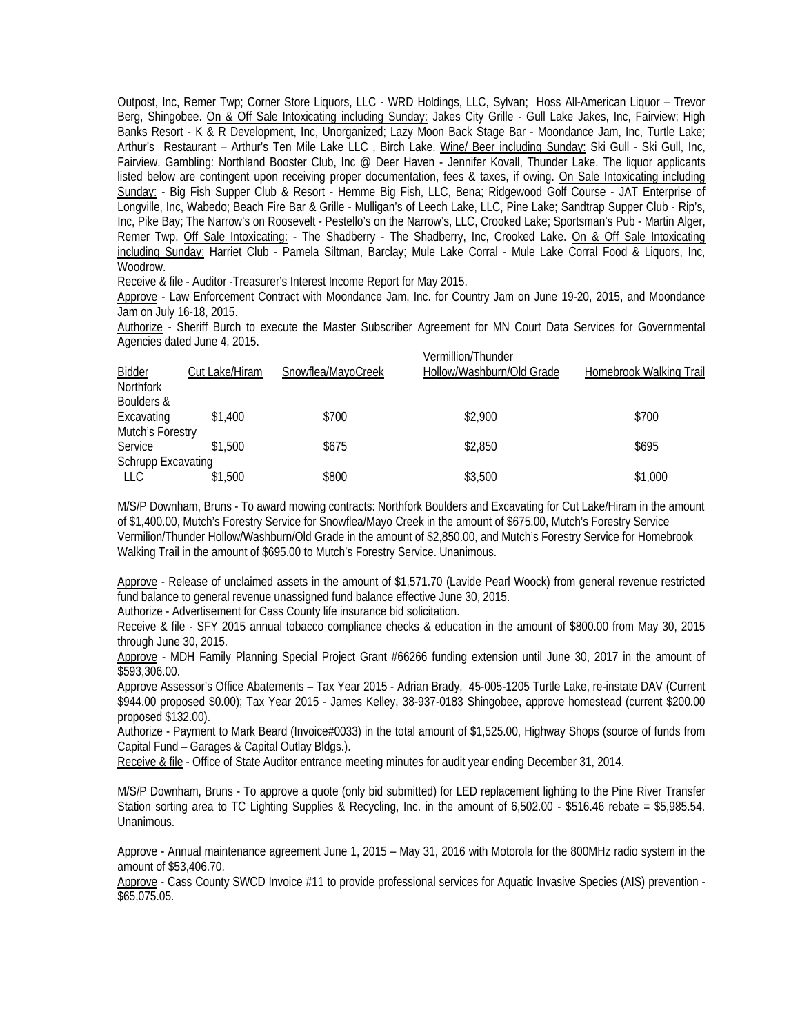Outpost, Inc, Remer Twp; Corner Store Liquors, LLC - WRD Holdings, LLC, Sylvan; Hoss All-American Liquor – Trevor Berg, Shingobee. On & Off Sale Intoxicating including Sunday: Jakes City Grille - Gull Lake Jakes, Inc, Fairview; High Banks Resort - K & R Development, Inc, Unorganized; Lazy Moon Back Stage Bar - Moondance Jam, Inc, Turtle Lake; Arthur's Restaurant – Arthur's Ten Mile Lake LLC , Birch Lake. Wine/ Beer including Sunday: Ski Gull - Ski Gull, Inc, Fairview. Gambling: Northland Booster Club, Inc @ Deer Haven - Jennifer Kovall, Thunder Lake. The liquor applicants listed below are contingent upon receiving proper documentation, fees & taxes, if owing. On Sale Intoxicating including Sunday: - Big Fish Supper Club & Resort - Hemme Big Fish, LLC, Bena; Ridgewood Golf Course - JAT Enterprise of Longville, Inc, Wabedo; Beach Fire Bar & Grille - Mulligan's of Leech Lake, LLC, Pine Lake; Sandtrap Supper Club - Rip's, Inc, Pike Bay; The Narrow's on Roosevelt - Pestello's on the Narrow's, LLC, Crooked Lake; Sportsman's Pub - Martin Alger, Remer Twp. Off Sale Intoxicating: - The Shadberry - The Shadberry, Inc, Crooked Lake. On & Off Sale Intoxicating including Sunday: Harriet Club - Pamela Siltman, Barclay; Mule Lake Corral - Mule Lake Corral Food & Liquors, Inc, Woodrow.

Receive & file - Auditor -Treasurer's Interest Income Report for May 2015.

 Approve - Law Enforcement Contract with Moondance Jam, Inc. for Country Jam on June 19-20, 2015, and Moondance Jam on July 16-18, 2015.

 Authorize - Sheriff Burch to execute the Master Subscriber Agreement for MN Court Data Services for Governmental Agencies dated June 4, 2015.

| <b>Bidder</b>             | Cut Lake/Hiram | Snowflea/MayoCreek | Vermillion/Thunder<br>Hollow/Washburn/Old Grade | Homebrook Walking Trail |
|---------------------------|----------------|--------------------|-------------------------------------------------|-------------------------|
| <b>Northfork</b>          |                |                    |                                                 |                         |
| Boulders &                |                |                    |                                                 |                         |
| Excavating                | \$1,400        | \$700              | \$2,900                                         | \$700                   |
| Mutch's Forestry          |                |                    |                                                 |                         |
| Service                   | \$1.500        | \$675              | \$2,850                                         | \$695                   |
| <b>Schrupp Excavating</b> |                |                    |                                                 |                         |
| LLC.                      | \$1,500        | \$800              | \$3,500                                         | \$1,000                 |
|                           |                |                    |                                                 |                         |

M/S/P Downham, Bruns - To award mowing contracts: Northfork Boulders and Excavating for Cut Lake/Hiram in the amount of \$1,400.00, Mutch's Forestry Service for Snowflea/Mayo Creek in the amount of \$675.00, Mutch's Forestry Service Vermilion/Thunder Hollow/Washburn/Old Grade in the amount of \$2,850.00, and Mutch's Forestry Service for Homebrook Walking Trail in the amount of \$695.00 to Mutch's Forestry Service. Unanimous.

 Approve - Release of unclaimed assets in the amount of \$1,571.70 (Lavide Pearl Woock) from general revenue restricted fund balance to general revenue unassigned fund balance effective June 30, 2015.

Authorize - Advertisement for Cass County life insurance bid solicitation.

 Receive & file - SFY 2015 annual tobacco compliance checks & education in the amount of \$800.00 from May 30, 2015 through June 30, 2015.

 Approve - MDH Family Planning Special Project Grant #66266 funding extension until June 30, 2017 in the amount of \$593,306.00.

Approve Assessor's Office Abatements – Tax Year 2015 - Adrian Brady, 45-005-1205 Turtle Lake, re-instate DAV (Current \$944.00 proposed \$0.00); Tax Year 2015 - James Kelley, 38-937-0183 Shingobee, approve homestead (current \$200.00 proposed \$132.00).

 Authorize - Payment to Mark Beard (Invoice#0033) in the total amount of \$1,525.00, Highway Shops (source of funds from Capital Fund – Garages & Capital Outlay Bldgs.).

Receive & file - Office of State Auditor entrance meeting minutes for audit year ending December 31, 2014.

 M/S/P Downham, Bruns - To approve a quote (only bid submitted) for LED replacement lighting to the Pine River Transfer Station sorting area to TC Lighting Supplies & Recycling, Inc. in the amount of 6,502.00 - \$516.46 rebate = \$5,985.54. Unanimous.

 Approve - Annual maintenance agreement June 1, 2015 – May 31, 2016 with Motorola for the 800MHz radio system in the amount of \$53,406.70.

 Approve - Cass County SWCD Invoice #11 to provide professional services for Aquatic Invasive Species (AIS) prevention - \$65,075.05.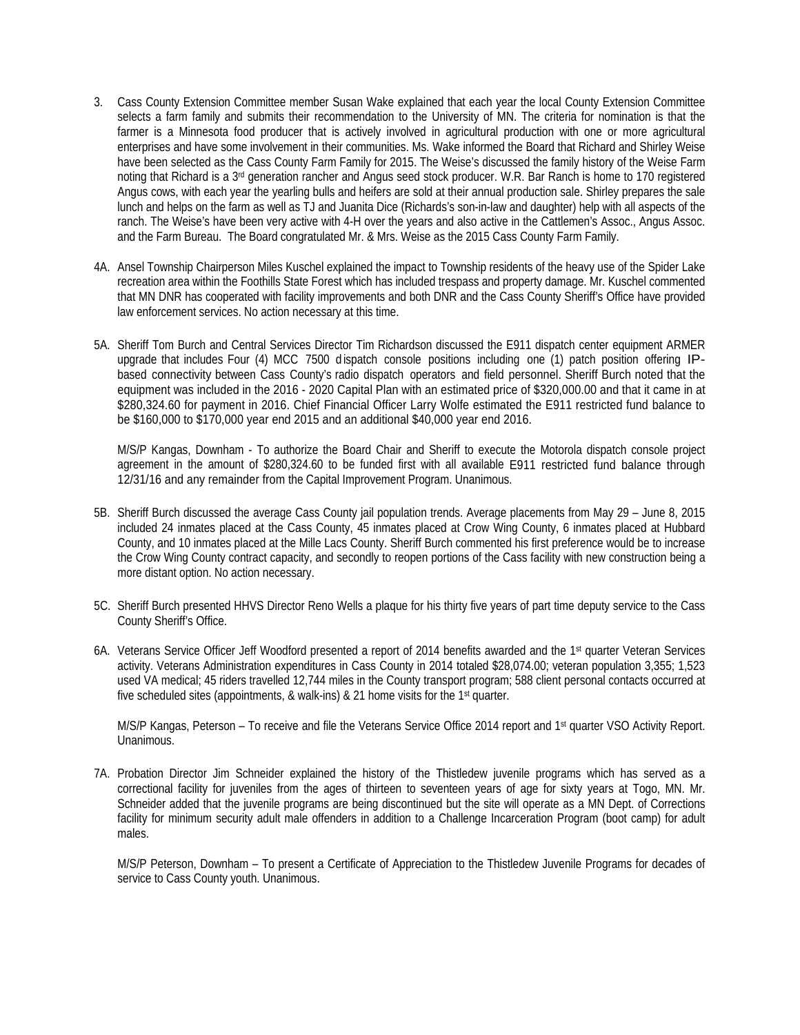- 3. Cass County Extension Committee member Susan Wake explained that each year the local County Extension Committee selects a farm family and submits their recommendation to the University of MN. The criteria for nomination is that the farmer is a Minnesota food producer that is actively involved in agricultural production with one or more agricultural enterprises and have some involvement in their communities. Ms. Wake informed the Board that Richard and Shirley Weise have been selected as the Cass County Farm Family for 2015. The Weise's discussed the family history of the Weise Farm noting that Richard is a 3<sup>rd</sup> generation rancher and Angus seed stock producer. W.R. Bar Ranch is home to 170 registered Angus cows, with each year the yearling bulls and heifers are sold at their annual production sale. Shirley prepares the sale lunch and helps on the farm as well as TJ and Juanita Dice (Richards's son-in-law and daughter) help with all aspects of the ranch. The Weise's have been very active with 4-H over the years and also active in the Cattlemen's Assoc., Angus Assoc. and the Farm Bureau. The Board congratulated Mr. & Mrs. Weise as the 2015 Cass County Farm Family.
- 4A. Ansel Township Chairperson Miles Kuschel explained the impact to Township residents of the heavy use of the Spider Lake recreation area within the Foothills State Forest which has included trespass and property damage. Mr. Kuschel commented that MN DNR has cooperated with facility improvements and both DNR and the Cass County Sheriff's Office have provided law enforcement services. No action necessary at this time.
- 5A. Sheriff Tom Burch and Central Services Director Tim Richardson discussed the E911 dispatch center equipment ARMER upgrade that includes Four (4) MCC 7500 d ispatch console positions including one (1) patch position offering IPbased connectivity between Cass County's radio dispatch operators and field personnel. Sheriff Burch noted that the equipment was included in the 2016 - 2020 Capital Plan with an estimated price of \$320,000.00 and that it came in at \$280,324.60 for payment in 2016. Chief Financial Officer Larry Wolfe estimated the E911 restricted fund balance to be \$160,000 to \$170,000 year end 2015 and an additional \$40,000 year end 2016.

M/S/P Kangas, Downham - To authorize the Board Chair and Sheriff to execute the Motorola dispatch console project agreement in the amount of \$280,324.60 to be funded first with all available E911 restricted fund balance through 12/31/16 and any remainder from the Capital Improvement Program. Unanimous.

- 5B. Sheriff Burch discussed the average Cass County jail population trends. Average placements from May 29 June 8, 2015 included 24 inmates placed at the Cass County, 45 inmates placed at Crow Wing County, 6 inmates placed at Hubbard County, and 10 inmates placed at the Mille Lacs County. Sheriff Burch commented his first preference would be to increase the Crow Wing County contract capacity, and secondly to reopen portions of the Cass facility with new construction being a more distant option. No action necessary.
- 5C. Sheriff Burch presented HHVS Director Reno Wells a plaque for his thirty five years of part time deputy service to the Cass County Sheriff's Office.
- 6A. Veterans Service Officer Jeff Woodford presented a report of 2014 benefits awarded and the 1st quarter Veteran Services activity. Veterans Administration expenditures in Cass County in 2014 totaled \$28,074.00; veteran population 3,355; 1,523 used VA medical; 45 riders travelled 12,744 miles in the County transport program; 588 client personal contacts occurred at five scheduled sites (appointments, & walk-ins) & 21 home visits for the 1<sup>st</sup> quarter.

M/S/P Kangas, Peterson - To receive and file the Veterans Service Office 2014 report and 1<sup>st</sup> quarter VSO Activity Report. Unanimous.

7A. Probation Director Jim Schneider explained the history of the Thistledew juvenile programs which has served as a correctional facility for juveniles from the ages of thirteen to seventeen years of age for sixty years at Togo, MN. Mr. Schneider added that the juvenile programs are being discontinued but the site will operate as a MN Dept. of Corrections facility for minimum security adult male offenders in addition to a Challenge Incarceration Program (boot camp) for adult males.

M/S/P Peterson, Downham – To present a Certificate of Appreciation to the Thistledew Juvenile Programs for decades of service to Cass County youth. Unanimous.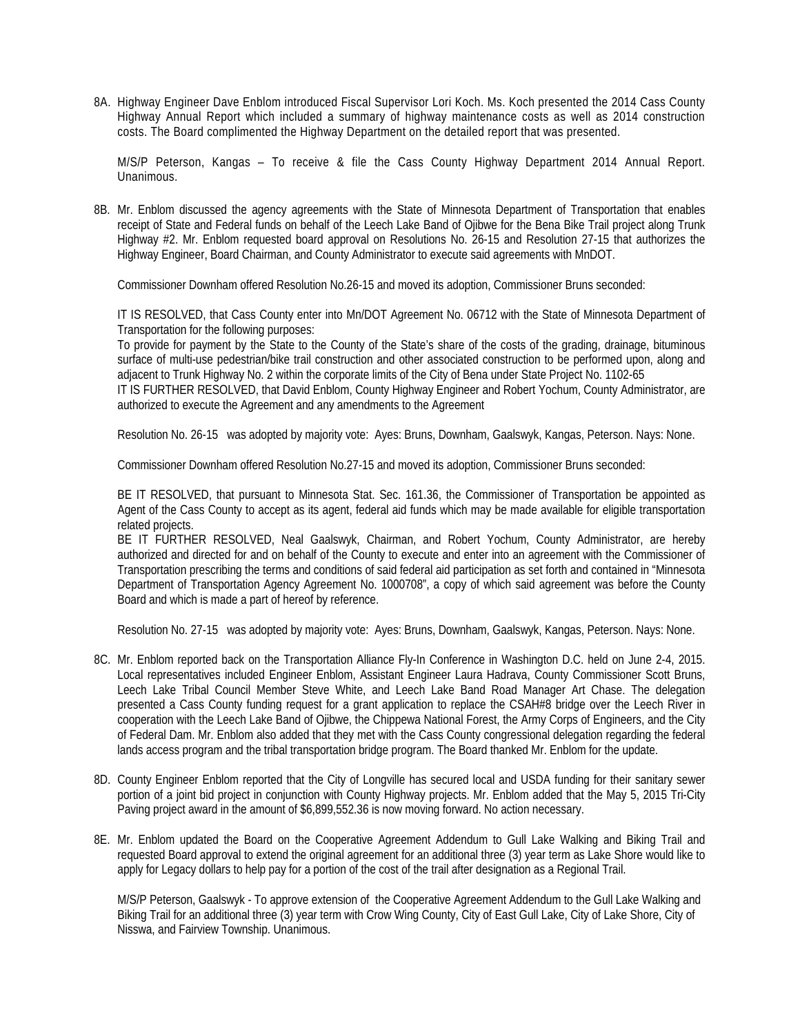8A. Highway Engineer Dave Enblom introduced Fiscal Supervisor Lori Koch. Ms. Koch presented the 2014 Cass County Highway Annual Report which included a summary of highway maintenance costs as well as 2014 construction costs. The Board complimented the Highway Department on the detailed report that was presented.

 M/S/P Peterson, Kangas – To receive & file the Cass County Highway Department 2014 Annual Report. Unanimous.

8B. Mr. Enblom discussed the agency agreements with the State of Minnesota Department of Transportation that enables receipt of State and Federal funds on behalf of the Leech Lake Band of Ojibwe for the Bena Bike Trail project along Trunk Highway #2. Mr. Enblom requested board approval on Resolutions No. 26-15 and Resolution 27-15 that authorizes the Highway Engineer, Board Chairman, and County Administrator to execute said agreements with MnDOT.

Commissioner Downham offered Resolution No.26-15 and moved its adoption, Commissioner Bruns seconded:

IT IS RESOLVED, that Cass County enter into Mn/DOT Agreement No. 06712 with the State of Minnesota Department of Transportation for the following purposes:

To provide for payment by the State to the County of the State's share of the costs of the grading, drainage, bituminous surface of multi-use pedestrian/bike trail construction and other associated construction to be performed upon, along and adjacent to Trunk Highway No. 2 within the corporate limits of the City of Bena under State Project No. 1102-65

IT IS FURTHER RESOLVED, that David Enblom, County Highway Engineer and Robert Yochum, County Administrator, are authorized to execute the Agreement and any amendments to the Agreement

Resolution No. 26-15 was adopted by majority vote: Ayes: Bruns, Downham, Gaalswyk, Kangas, Peterson. Nays: None.

Commissioner Downham offered Resolution No.27-15 and moved its adoption, Commissioner Bruns seconded:

BE IT RESOLVED, that pursuant to Minnesota Stat. Sec. 161.36, the Commissioner of Transportation be appointed as Agent of the Cass County to accept as its agent, federal aid funds which may be made available for eligible transportation related projects.

BE IT FURTHER RESOLVED, Neal Gaalswyk, Chairman, and Robert Yochum, County Administrator, are hereby authorized and directed for and on behalf of the County to execute and enter into an agreement with the Commissioner of Transportation prescribing the terms and conditions of said federal aid participation as set forth and contained in "Minnesota Department of Transportation Agency Agreement No. 1000708", a copy of which said agreement was before the County Board and which is made a part of hereof by reference.

Resolution No. 27-15 was adopted by majority vote: Ayes: Bruns, Downham, Gaalswyk, Kangas, Peterson. Nays: None.

- 8C. Mr. Enblom reported back on the Transportation Alliance Fly-In Conference in Washington D.C. held on June 2-4, 2015. Local representatives included Engineer Enblom, Assistant Engineer Laura Hadrava, County Commissioner Scott Bruns, Leech Lake Tribal Council Member Steve White, and Leech Lake Band Road Manager Art Chase. The delegation presented a Cass County funding request for a grant application to replace the CSAH#8 bridge over the Leech River in cooperation with the Leech Lake Band of Ojibwe, the Chippewa National Forest, the Army Corps of Engineers, and the City of Federal Dam. Mr. Enblom also added that they met with the Cass County congressional delegation regarding the federal lands access program and the tribal transportation bridge program. The Board thanked Mr. Enblom for the update.
- 8D. County Engineer Enblom reported that the City of Longville has secured local and USDA funding for their sanitary sewer portion of a joint bid project in conjunction with County Highway projects. Mr. Enblom added that the May 5, 2015 Tri-City Paving project award in the amount of \$6,899,552.36 is now moving forward. No action necessary.
- 8E. Mr. Enblom updated the Board on the Cooperative Agreement Addendum to Gull Lake Walking and Biking Trail and requested Board approval to extend the original agreement for an additional three (3) year term as Lake Shore would like to apply for Legacy dollars to help pay for a portion of the cost of the trail after designation as a Regional Trail.

M/S/P Peterson, Gaalswyk - To approve extension of the Cooperative Agreement Addendum to the Gull Lake Walking and Biking Trail for an additional three (3) year term with Crow Wing County, City of East Gull Lake, City of Lake Shore, City of Nisswa, and Fairview Township. Unanimous.